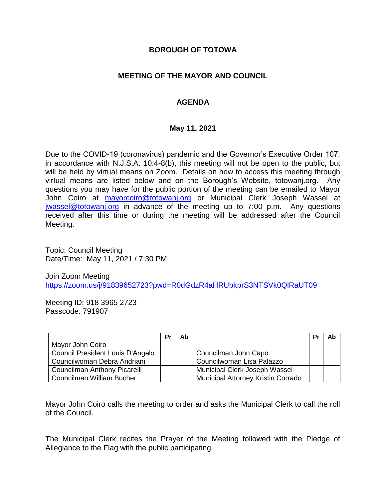### **BOROUGH OF TOTOWA**

## **MEETING OF THE MAYOR AND COUNCIL**

## **AGENDA**

#### **May 11, 2021**

Due to the COVID-19 (coronavirus) pandemic and the Governor's Executive Order 107, in accordance with N.J.S.A. 10:4-8(b), this meeting will not be open to the public, but will be held by virtual means on Zoom. Details on how to access this meeting through virtual means are listed below and on the Borough's Website, totowanj.org. Any questions you may have for the public portion of the meeting can be emailed to Mayor John Coiro at [mayorcoiro@totowanj.org](mailto:mayorcoiro@totowanj.org) or Municipal Clerk Joseph Wassel at [jwassel@totowanj.org](mailto:jwassel@totowanj.org) in advance of the meeting up to 7:00 p.m. Any questions received after this time or during the meeting will be addressed after the Council Meeting.

Topic: Council Meeting Date/Time: May 11, 2021 / 7:30 PM

Join Zoom Meeting <https://zoom.us/j/91839652723?pwd=R0dGdzR4aHRUbkprS3NTSVk0QlRaUT09>

Meeting ID: 918 3965 2723 Passcode: 791907

|                                  | Pr | Ab |                                           | Pr | Ab |
|----------------------------------|----|----|-------------------------------------------|----|----|
| Mayor John Coiro                 |    |    |                                           |    |    |
| Council President Louis D'Angelo |    |    | Councilman John Capo                      |    |    |
| Councilwoman Debra Andriani      |    |    | Councilwoman Lisa Palazzo                 |    |    |
| Councilman Anthony Picarelli     |    |    | Municipal Clerk Joseph Wassel             |    |    |
| Councilman William Bucher        |    |    | <b>Municipal Attorney Kristin Corrado</b> |    |    |

Mayor John Coiro calls the meeting to order and asks the Municipal Clerk to call the roll of the Council.

The Municipal Clerk recites the Prayer of the Meeting followed with the Pledge of Allegiance to the Flag with the public participating.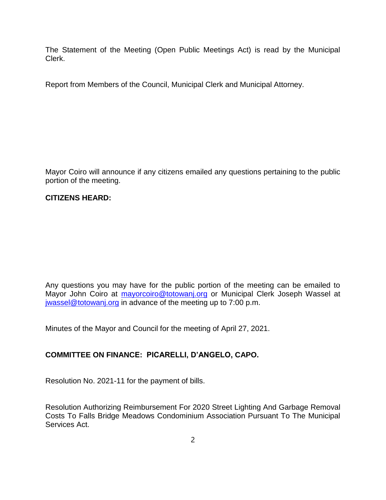The Statement of the Meeting (Open Public Meetings Act) is read by the Municipal Clerk.

Report from Members of the Council, Municipal Clerk and Municipal Attorney.

Mayor Coiro will announce if any citizens emailed any questions pertaining to the public portion of the meeting.

## **CITIZENS HEARD:**

Any questions you may have for the public portion of the meeting can be emailed to Mayor John Coiro at [mayorcoiro@totowanj.org](mailto:mayorcoiro@totowanj.org) or Municipal Clerk Joseph Wassel at [jwassel@totowanj.org](mailto:jwassel@totowanj.org) in advance of the meeting up to 7:00 p.m.

Minutes of the Mayor and Council for the meeting of April 27, 2021.

# **COMMITTEE ON FINANCE: PICARELLI, D'ANGELO, CAPO.**

Resolution No. 2021-11 for the payment of bills.

Resolution Authorizing Reimbursement For 2020 Street Lighting And Garbage Removal Costs To Falls Bridge Meadows Condominium Association Pursuant To The Municipal Services Act.